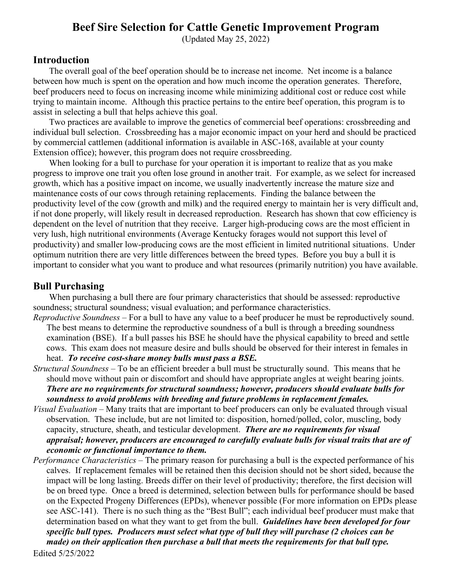### **Beef Sire Selection for Cattle Genetic Improvement Program**

(Updated May 25, 2022)

### **Introduction**

The overall goal of the beef operation should be to increase net income. Net income is a balance between how much is spent on the operation and how much income the operation generates. Therefore, beef producers need to focus on increasing income while minimizing additional cost or reduce cost while trying to maintain income. Although this practice pertains to the entire beef operation, this program is to assist in selecting a bull that helps achieve this goal.

Two practices are available to improve the genetics of commercial beef operations: crossbreeding and individual bull selection. Crossbreeding has a major economic impact on your herd and should be practiced by commercial cattlemen (additional information is available in ASC-168, available at your county Extension office); however, this program does not require crossbreeding.

When looking for a bull to purchase for your operation it is important to realize that as you make progress to improve one trait you often lose ground in another trait. For example, as we select for increased growth, which has a positive impact on income, we usually inadvertently increase the mature size and maintenance costs of our cows through retaining replacements. Finding the balance between the productivity level of the cow (growth and milk) and the required energy to maintain her is very difficult and, if not done properly, will likely result in decreased reproduction. Research has shown that cow efficiency is dependent on the level of nutrition that they receive. Larger high-producing cows are the most efficient in very lush, high nutritional environments (Average Kentucky forages would not support this level of productivity) and smaller low-producing cows are the most efficient in limited nutritional situations. Under optimum nutrition there are very little differences between the breed types. Before you buy a bull it is important to consider what you want to produce and what resources (primarily nutrition) you have available.

### **Bull Purchasing**

When purchasing a bull there are four primary characteristics that should be assessed: reproductive soundness; structural soundness; visual evaluation; and performance characteristics.

- *Reproductive Soundness*  For a bull to have any value to a beef producer he must be reproductively sound. The best means to determine the reproductive soundness of a bull is through a breeding soundness examination (BSE). If a bull passes his BSE he should have the physical capability to breed and settle cows. This exam does not measure desire and bulls should be observed for their interest in females in heat. *To receive cost-share money bulls must pass a BSE.*
- *Structural Soundness* To be an efficient breeder a bull must be structurally sound. This means that he should move without pain or discomfort and should have appropriate angles at weight bearing joints. *There are no requirements for structural soundness; however, producers should evaluate bulls for soundness to avoid problems with breeding and future problems in replacement females.*
- *Visual Evaluation* Many traits that are important to beef producers can only be evaluated through visual observation. These include, but are not limited to: disposition, horned/polled, color, muscling, body capacity, structure, sheath, and testicular development. *There are no requirements for visual appraisal; however, producers are encouraged to carefully evaluate bulls for visual traits that are of economic or functional importance to them.*
- Edited 5/25/2022 *Performance Characteristics* – The primary reason for purchasing a bull is the expected performance of his calves. If replacement females will be retained then this decision should not be short sided, because the impact will be long lasting. Breeds differ on their level of productivity; therefore, the first decision will be on breed type. Once a breed is determined, selection between bulls for performance should be based on the Expected Progeny Differences (EPDs), whenever possible (For more information on EPDs please see ASC-141). There is no such thing as the "Best Bull"; each individual beef producer must make that determination based on what they want to get from the bull. *Guidelines have been developed for four specific bull types. Producers must select what type of bull they will purchase (2 choices can be made) on their application then purchase a bull that meets the requirements for that bull type.*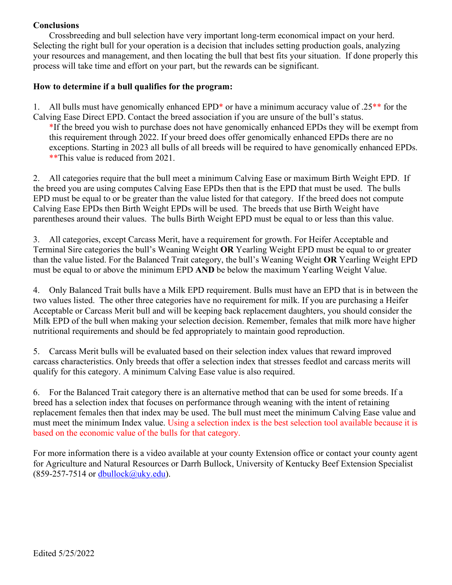#### **Conclusions**

Crossbreeding and bull selection have very important long-term economical impact on your herd. Selecting the right bull for your operation is a decision that includes setting production goals, analyzing your resources and management, and then locating the bull that best fits your situation. If done properly this process will take time and effort on your part, but the rewards can be significant.

#### **How to determine if a bull qualifies for the program:**

1. All bulls must have genomically enhanced EPD<sup>\*</sup> or have a minimum accuracy value of  $.25**$  for the Calving Ease Direct EPD. Contact the breed association if you are unsure of the bull's status.

\*If the breed you wish to purchase does not have genomically enhanced EPDs they will be exempt from this requirement through 2022. If your breed does offer genomically enhanced EPDs there are no exceptions. Starting in 2023 all bulls of all breeds will be required to have genomically enhanced EPDs. \*\*This value is reduced from 2021.

2. All categories require that the bull meet a minimum Calving Ease or maximum Birth Weight EPD. If the breed you are using computes Calving Ease EPDs then that is the EPD that must be used. The bulls EPD must be equal to or be greater than the value listed for that category. If the breed does not compute Calving Ease EPDs then Birth Weight EPDs will be used. The breeds that use Birth Weight have parentheses around their values. The bulls Birth Weight EPD must be equal to or less than this value.

3. All categories, except Carcass Merit, have a requirement for growth. For Heifer Acceptable and Terminal Sire categories the bull's Weaning Weight **OR** Yearling Weight EPD must be equal to or greater than the value listed. For the Balanced Trait category, the bull's Weaning Weight **OR** Yearling Weight EPD must be equal to or above the minimum EPD **AND** be below the maximum Yearling Weight Value.

4. Only Balanced Trait bulls have a Milk EPD requirement. Bulls must have an EPD that is in between the two values listed. The other three categories have no requirement for milk. If you are purchasing a Heifer Acceptable or Carcass Merit bull and will be keeping back replacement daughters, you should consider the Milk EPD of the bull when making your selection decision. Remember, females that milk more have higher nutritional requirements and should be fed appropriately to maintain good reproduction.

5. Carcass Merit bulls will be evaluated based on their selection index values that reward improved carcass characteristics. Only breeds that offer a selection index that stresses feedlot and carcass merits will qualify for this category. A minimum Calving Ease value is also required.

6. For the Balanced Trait category there is an alternative method that can be used for some breeds. If a breed has a selection index that focuses on performance through weaning with the intent of retaining replacement females then that index may be used. The bull must meet the minimum Calving Ease value and must meet the minimum Index value. Using a selection index is the best selection tool available because it is based on the economic value of the bulls for that category.

For more information there is a video available at your county Extension office or contact your county agent for Agriculture and Natural Resources or Darrh Bullock, University of Kentucky Beef Extension Specialist  $(859-257-7514 \text{ or } \text{dbullock}(Quky.edu)).$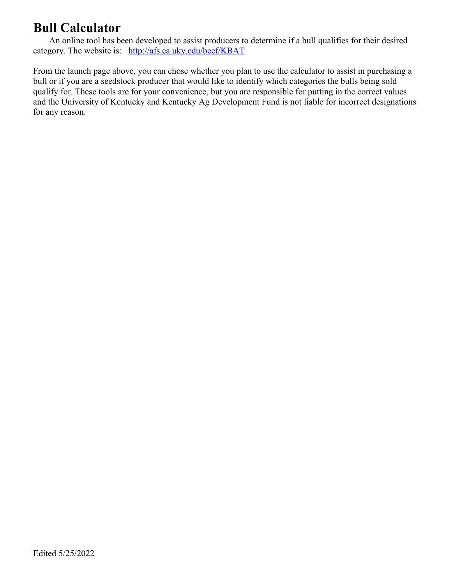### **Bull Calculator**

An online tool has been developed to assist producers to determine if a bull qualifies for their desired category. The website is: <http://afs.ca.uky.edu/beef/KBAT>

From the launch page above, you can chose whether you plan to use the calculator to assist in purchasing a bull or if you are a seedstock producer that would like to identify which categories the bulls being sold qualify for. These tools are for your convenience, but you are responsible for putting in the correct values and the University of Kentucky and Kentucky Ag Development Fund is not liable for incorrect designations for any reason.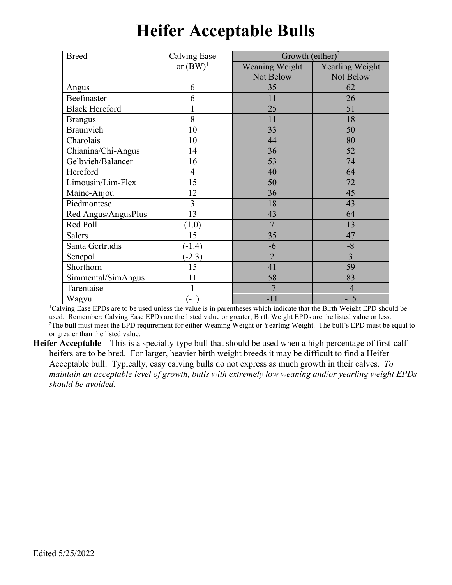| <b>Breed</b>          | <b>Calving Ease</b> | Growth (either) <sup>2</sup> |                 |  |
|-----------------------|---------------------|------------------------------|-----------------|--|
|                       | or $(BW)^1$         | Weaning Weight               | Yearling Weight |  |
|                       |                     | Not Below                    | Not Below       |  |
| Angus                 | 6                   | 35                           | 62              |  |
| Beefmaster            | 6                   | 11                           | 26              |  |
| <b>Black Hereford</b> |                     | 25                           | 51              |  |
| <b>Brangus</b>        | 8                   | 11                           | 18              |  |
| Braunvieh             | 10                  | 33                           | 50              |  |
| Charolais             | 10                  | 44                           | 80              |  |
| Chianina/Chi-Angus    | 14                  | 36                           | 52              |  |
| Gelbvieh/Balancer     | 16                  | 53                           | 74              |  |
| Hereford              | $\overline{4}$      | 40                           | 64              |  |
| Limousin/Lim-Flex     | 15                  | 50                           | 72              |  |
| Maine-Anjou           | 12                  | 36                           | 45              |  |
| Piedmontese           | 3                   | 18                           | 43              |  |
| Red Angus/AngusPlus   | 13                  | 43                           | 64              |  |
| Red Poll              | (1.0)               | 7                            | 13              |  |
| <b>Salers</b>         | 15                  | 35                           | 47              |  |
| Santa Gertrudis       | $(-1.4)$            | -6                           | $-8$            |  |
| Senepol               | $-2.3)$             | $\overline{2}$               | 3               |  |
| Shorthorn             | 15                  | 41                           | 59              |  |
| Simmental/SimAngus    | 11                  | 58                           | 83              |  |
| Tarentaise            |                     | $-7$                         | $-4$            |  |
| Wagyu                 | $(-1)$              | $-11$                        | $-15$           |  |

### **Heifer Acceptable Bulls**

<sup>1</sup>Calving Ease EPDs are to be used unless the value is in parentheses which indicate that the Birth Weight EPD should be used. Remember: Calving Ease EPDs are the listed value or greater; Birth Weight EPDs are the listed value or less. 2 The bull must meet the EPD requirement for either Weaning Weight or Yearling Weight. The bull's EPD must be equal to or greater than the listed value.

**Heifer Acceptable** – This is a specialty-type bull that should be used when a high percentage of first-calf heifers are to be bred. For larger, heavier birth weight breeds it may be difficult to find a Heifer Acceptable bull. Typically, easy calving bulls do not express as much growth in their calves. *To maintain an acceptable level of growth, bulls with extremely low weaning and/or yearling weight EPDs should be avoided*.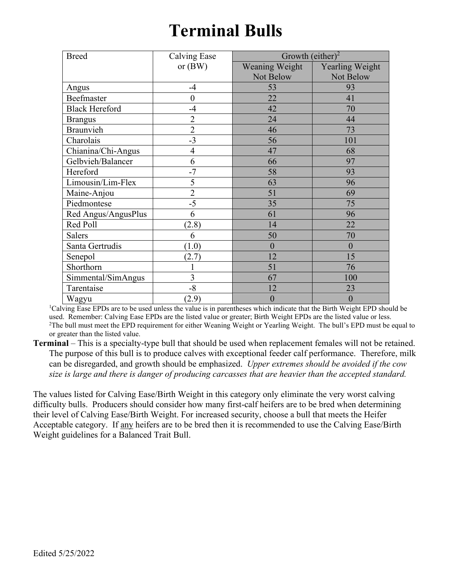## **Terminal Bulls**

| <b>Breed</b>          | Calving Ease   | Growth (either) <sup>2</sup> |                        |  |
|-----------------------|----------------|------------------------------|------------------------|--|
|                       | or $(BW)$      | Weaning Weight               | <b>Yearling Weight</b> |  |
|                       |                | Not Below                    | Not Below              |  |
| Angus                 | $-4$           | 53                           | 93                     |  |
| Beefmaster            | $\overline{0}$ | 22                           | 41                     |  |
| <b>Black Hereford</b> | $-4$           | 42                           | 70                     |  |
| <b>Brangus</b>        | $\overline{2}$ | 24                           | 44                     |  |
| Braunvieh             | $\overline{2}$ | 46                           | 73                     |  |
| Charolais             | $-3$           | 56                           | 101                    |  |
| Chianina/Chi-Angus    | 4              | 47                           | 68                     |  |
| Gelbvieh/Balancer     | 6              | 66                           | 97                     |  |
| Hereford              | $-7$           | 58                           | 93                     |  |
| Limousin/Lim-Flex     | 5              | 63                           | 96                     |  |
| Maine-Anjou           | $\overline{2}$ | 51                           | 69                     |  |
| Piedmontese           | $-5$           | 35                           | 75                     |  |
| Red Angus/AngusPlus   | 6              | 61                           | 96                     |  |
| Red Poll              | (2.8)          | 14                           | 22                     |  |
| <b>Salers</b>         | 6              | 50                           | 70                     |  |
| Santa Gertrudis       | (1.0)          | $\boldsymbol{0}$             | $\boldsymbol{0}$       |  |
| Senepol               | (2.7)          | 12                           | 15                     |  |
| Shorthorn             |                | 51                           | 76                     |  |
| Simmental/SimAngus    | 3              | 67                           | 100                    |  |
| Tarentaise            | $-8$           | 12                           | 23                     |  |
| Wagyu                 | (2.9)          | $\boldsymbol{0}$             | $\boldsymbol{0}$       |  |

<sup>1</sup>Calving Ease EPDs are to be used unless the value is in parentheses which indicate that the Birth Weight EPD should be used. Remember: Calving Ease EPDs are the listed value or greater; Birth Weight EPDs are the listed value or less. 2 The bull must meet the EPD requirement for either Weaning Weight or Yearling Weight. The bull's EPD must be equal to or greater than the listed value.

**Terminal** – This is a specialty-type bull that should be used when replacement females will not be retained. The purpose of this bull is to produce calves with exceptional feeder calf performance. Therefore, milk can be disregarded, and growth should be emphasized. *Upper extremes should be avoided if the cow size is large and there is danger of producing carcasses that are heavier than the accepted standard.*

The values listed for Calving Ease/Birth Weight in this category only eliminate the very worst calving difficulty bulls. Producers should consider how many first-calf heifers are to be bred when determining their level of Calving Ease/Birth Weight. For increased security, choose a bull that meets the Heifer Acceptable category. If any heifers are to be bred then it is recommended to use the Calving Ease/Birth Weight guidelines for a Balanced Trait Bull.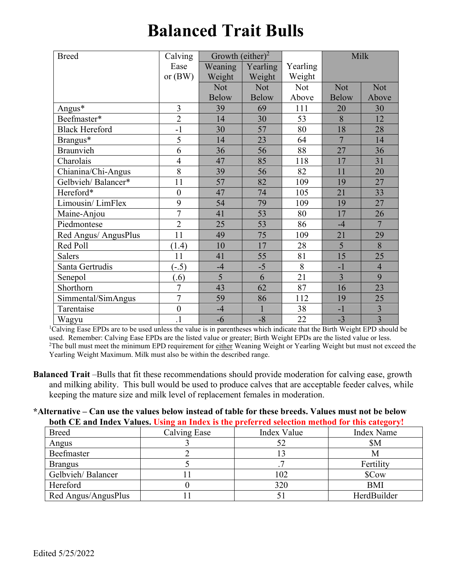# **Balanced Trait Bulls**

| <b>Breed</b>          | Calving          | Growth (either) <sup>2</sup> |              |          | Milk           |                |
|-----------------------|------------------|------------------------------|--------------|----------|----------------|----------------|
|                       | Ease             | Weaning                      | Yearling     | Yearling |                |                |
|                       | or $(BW)$        | Weight                       | Weight       | Weight   |                |                |
|                       |                  | Not                          | Not          | Not      | Not            | Not            |
|                       |                  | <b>Below</b>                 | <b>Below</b> | Above    | <b>Below</b>   | Above          |
| Angus*                | 3                | 39                           | 69           | 111      | 20             | 30             |
| Beefmaster*           | $\overline{2}$   | 14                           | 30           | 53       | 8              | 12             |
| <b>Black Hereford</b> | $-1$             | 30                           | 57           | 80       | 18             | 28             |
| Brangus*              | 5                | 14                           | 23           | 64       | $\overline{7}$ | 14             |
| <b>Braunvieh</b>      | 6                | 36                           | 56           | 88       | 27             | 36             |
| Charolais             | $\overline{4}$   | 47                           | 85           | 118      | 17             | 31             |
| Chianina/Chi-Angus    | $\overline{8}$   | 39                           | 56           | 82       | 11             | 20             |
| Gelbvieh/Balancer*    | 11               | 57                           | 82           | 109      | 19             | 27             |
| Hereford*             | $\mathbf{0}$     | 47                           | 74           | 105      | 21             | 33             |
| Limousin/LimFlex      | 9                | 54                           | 79           | 109      | 19             | 27             |
| Maine-Anjou           | $\overline{7}$   | 41                           | 53           | 80       | 17             | 26             |
| Piedmontese           | $\overline{2}$   | 25                           | 53           | 86       | $-4$           | $\overline{7}$ |
| Red Angus/ AngusPlus  | 11               | 49                           | 75           | 109      | 21             | 29             |
| Red Poll              | (1.4)            | 10                           | 17           | 28       | $\overline{5}$ | 8              |
| <b>Salers</b>         | 11               | 41                           | 55           | 81       | 15             | 25             |
| Santa Gertrudis       | $(-.5)$          | $-4$                         | $-5$         | 8        | $-1$           | $\overline{4}$ |
| Senepol               | (0.6)            | 5                            | 6            | 21       | $\overline{3}$ | 9              |
| Shorthorn             | $\overline{7}$   | 43                           | 62           | 87       | 16             | 23             |
| Simmental/SimAngus    | $\overline{7}$   | 59                           | 86           | 112      | 19             | 25             |
| Tarentaise            | $\boldsymbol{0}$ | $-4$                         | $\mathbf{1}$ | 38       | $-1$           | $\overline{3}$ |
| Wagyu                 | $\overline{1}$   | $-6$                         | $-8$         | 22       | $-3$           | $\overline{3}$ |

<sup>1</sup>Calving Ease EPDs are to be used unless the value is in parentheses which indicate that the Birth Weight EPD should be used. Remember: Calving Ease EPDs are the listed value or greater; Birth Weight EPDs are the listed value or less. <sup>2</sup>The bull must meet the minimum EPD requirement for either Weaning Weight or Yearling Weight but must not exceed the Yearling Weight Maximum. Milk must also be within the described range.

**Balanced Trait** –Bulls that fit these recommendations should provide moderation for calving ease, growth and milking ability. This bull would be used to produce calves that are acceptable feeder calves, while keeping the mature size and milk level of replacement females in moderation.

#### **\*Alternative – Can use the values below instead of table for these breeds. Values must not be below both CE and Index Values. Using an Index is the preferred selection method for this category!**

| <b>Breed</b>        | Calving Ease | Index Value | Index Name  |
|---------------------|--------------|-------------|-------------|
| Angus               |              |             | <b>SM</b>   |
| Beefmaster          |              |             | М           |
| <b>Brangus</b>      |              |             | Fertility   |
| Gelbvieh/Balancer   |              | 102         | \$Cow       |
| Hereford            |              | 320         | <b>BMI</b>  |
| Red Angus/AngusPlus |              |             | HerdBuilder |